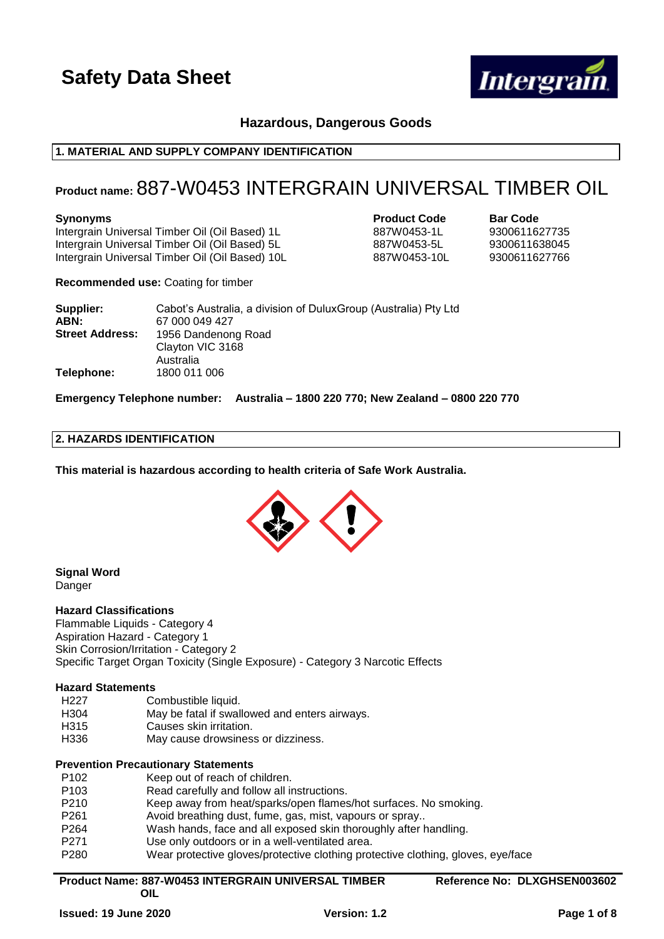

# **Hazardous, Dangerous Goods**

# **1. MATERIAL AND SUPPLY COMPANY IDENTIFICATION**

# **Product name:** 887-W0453 INTERGRAIN UNIVERSAL TIMBER OIL

Intergrain Universal Timber Oil (Oil Based) 1L 887W0453-1L 9300611627735 Intergrain Universal Timber Oil (Oil Based) 5L 887W0453-5L 9300611638045 Intergrain Universal Timber Oil (Oil Based) 10L 887W0453-10L 9300611627766

# **Synonyms Product Code Bar Code**

**Recommended use:** Coating for timber

| Supplier:              | Cabot's Australia, a division of Dulux Group (Australia) Pty Ltd |
|------------------------|------------------------------------------------------------------|
| ABN:                   | 67 000 049 427                                                   |
| <b>Street Address:</b> | 1956 Dandenong Road                                              |
|                        | Clayton VIC 3168                                                 |
|                        | Australia                                                        |
| Telephone:             | 1800 011 006                                                     |

**Emergency Telephone number: Australia – 1800 220 770; New Zealand – 0800 220 770**

# **2. HAZARDS IDENTIFICATION**

**This material is hazardous according to health criteria of Safe Work Australia.**



**Signal Word** Danger

# **Hazard Classifications**

Flammable Liquids - Category 4 Aspiration Hazard - Category 1 Skin Corrosion/Irritation - Category 2 Specific Target Organ Toxicity (Single Exposure) - Category 3 Narcotic Effects

# **Hazard Statements**

| H227        | Combustible liquid.                           |
|-------------|-----------------------------------------------|
| H304        | May be fatal if swallowed and enters airways. |
| H315        | Causes skin irritation.                       |
| <b>H33C</b> | May cause drowsingss or dizzingss             |

H336 May cause drowsiness or dizziness.

# **Prevention Precautionary Statements**

**OIL**

| P <sub>102</sub> | Keep out of reach of children.                                                   |
|------------------|----------------------------------------------------------------------------------|
| P <sub>103</sub> | Read carefully and follow all instructions.                                      |
| P210             | Keep away from heat/sparks/open flames/hot surfaces. No smoking.                 |
| P <sub>261</sub> | Avoid breathing dust, fume, gas, mist, vapours or spray                          |
| P <sub>264</sub> | Wash hands, face and all exposed skin thoroughly after handling.                 |
| P <sub>271</sub> | Use only outdoors or in a well-ventilated area.                                  |
| P280             | Wear protective gloves/protective clothing protective clothing, gloves, eye/face |
|                  |                                                                                  |

# **Product Name: 887-W0453 INTERGRAIN UNIVERSAL TIMBER**

**Reference No: DLXGHSEN003602**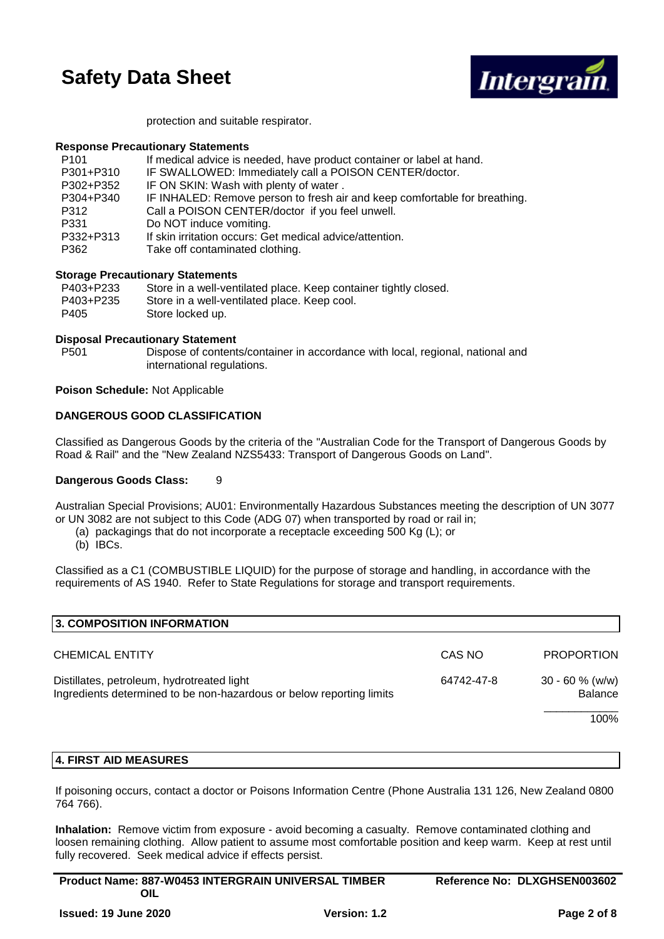

protection and suitable respirator.

# **Response Precautionary Statements**

| P <sub>101</sub> | If medical advice is needed, have product container or label at hand.      |
|------------------|----------------------------------------------------------------------------|
| P301+P310        | IF SWALLOWED: Immediately call a POISON CENTER/doctor.                     |
| P302+P352        | IF ON SKIN: Wash with plenty of water.                                     |
| P304+P340        | IF INHALED: Remove person to fresh air and keep comfortable for breathing. |
| P312             | Call a POISON CENTER/doctor if you feel unwell.                            |
| P331             | Do NOT induce vomiting.                                                    |
| P332+P313        | If skin irritation occurs: Get medical advice/attention.                   |
| P362             | Take off contaminated clothing.                                            |

# **Storage Precautionary Statements**

| P403+P233 | Store in a well-ventilated place. Keep container tightly closed. |
|-----------|------------------------------------------------------------------|
| P403+P235 | Store in a well-ventilated place. Keep cool.                     |
| P405      | Store locked up.                                                 |

# **Disposal Precautionary Statement**

P501 Dispose of contents/container in accordance with local, regional, national and international regulations.

**Poison Schedule:** Not Applicable

# **DANGEROUS GOOD CLASSIFICATION**

Classified as Dangerous Goods by the criteria of the "Australian Code for the Transport of Dangerous Goods by Road & Rail" and the "New Zealand NZS5433: Transport of Dangerous Goods on Land".

# **Dangerous Goods Class:** 9

Australian Special Provisions; AU01: Environmentally Hazardous Substances meeting the description of UN 3077 or UN 3082 are not subject to this Code (ADG 07) when transported by road or rail in;

- (a) packagings that do not incorporate a receptacle exceeding 500 Kg (L); or
- (b) IBCs.

Classified as a C1 (COMBUSTIBLE LIQUID) for the purpose of storage and handling, in accordance with the requirements of AS 1940. Refer to State Regulations for storage and transport requirements.

| 3. COMPOSITION INFORMATION                                                                                         |            |                   |
|--------------------------------------------------------------------------------------------------------------------|------------|-------------------|
| <b>CHEMICAL ENTITY</b>                                                                                             | CAS NO     | <b>PROPORTION</b> |
| Distillates, petroleum, hydrotreated light<br>Ingredients determined to be non-hazardous or below reporting limits | 64742-47-8 |                   |
|                                                                                                                    |            | 100%              |
|                                                                                                                    |            |                   |

# **4. FIRST AID MEASURES**

If poisoning occurs, contact a doctor or Poisons Information Centre (Phone Australia 131 126, New Zealand 0800 764 766).

**Inhalation:** Remove victim from exposure - avoid becoming a casualty. Remove contaminated clothing and loosen remaining clothing. Allow patient to assume most comfortable position and keep warm. Keep at rest until fully recovered. Seek medical advice if effects persist.

| <b>Product Name: 887-W0453 INTERGRAIN UNIVERSAL TIMBER</b> | Reference No: DLXGHSEN003602 |
|------------------------------------------------------------|------------------------------|
| OIL                                                        |                              |
|                                                            |                              |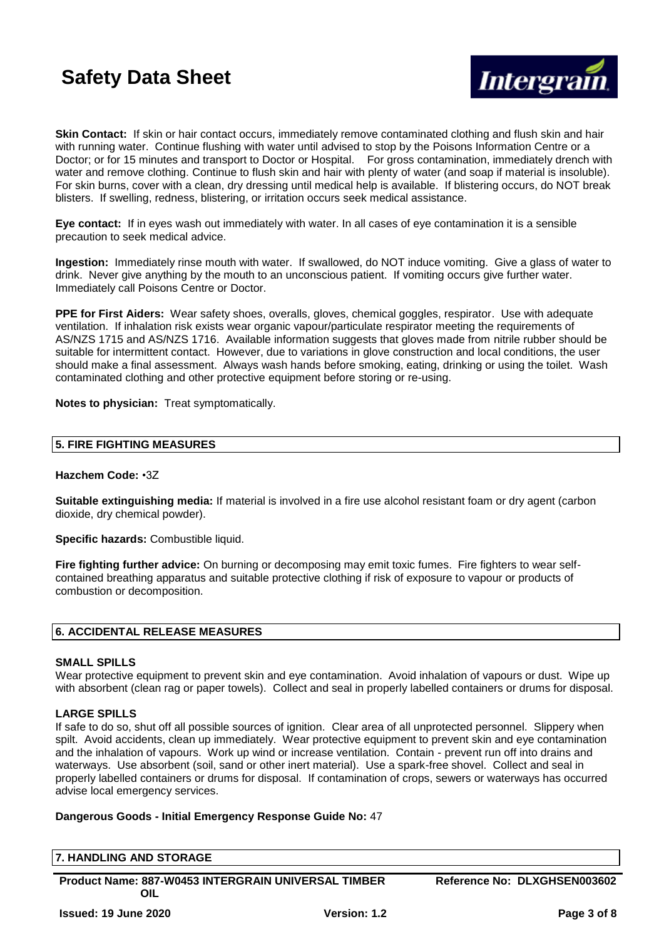

**Skin Contact:** If skin or hair contact occurs, immediately remove contaminated clothing and flush skin and hair with running water. Continue flushing with water until advised to stop by the Poisons Information Centre or a Doctor; or for 15 minutes and transport to Doctor or Hospital. For gross contamination, immediately drench with water and remove clothing. Continue to flush skin and hair with plenty of water (and soap if material is insoluble). For skin burns, cover with a clean, dry dressing until medical help is available. If blistering occurs, do NOT break blisters. If swelling, redness, blistering, or irritation occurs seek medical assistance.

**Eye contact:** If in eyes wash out immediately with water. In all cases of eye contamination it is a sensible precaution to seek medical advice.

**Ingestion:** Immediately rinse mouth with water. If swallowed, do NOT induce vomiting. Give a glass of water to drink. Never give anything by the mouth to an unconscious patient. If vomiting occurs give further water. Immediately call Poisons Centre or Doctor.

**PPE for First Aiders:** Wear safety shoes, overalls, gloves, chemical goggles, respirator. Use with adequate ventilation. If inhalation risk exists wear organic vapour/particulate respirator meeting the requirements of AS/NZS 1715 and AS/NZS 1716. Available information suggests that gloves made from nitrile rubber should be suitable for intermittent contact. However, due to variations in glove construction and local conditions, the user should make a final assessment. Always wash hands before smoking, eating, drinking or using the toilet. Wash contaminated clothing and other protective equipment before storing or re-using.

**Notes to physician:** Treat symptomatically.

# **5. FIRE FIGHTING MEASURES**

### **Hazchem Code:** •3Z

**Suitable extinguishing media:** If material is involved in a fire use alcohol resistant foam or dry agent (carbon dioxide, dry chemical powder).

**Specific hazards:** Combustible liquid.

**Fire fighting further advice:** On burning or decomposing may emit toxic fumes. Fire fighters to wear selfcontained breathing apparatus and suitable protective clothing if risk of exposure to vapour or products of combustion or decomposition.

# **6. ACCIDENTAL RELEASE MEASURES**

#### **SMALL SPILLS**

Wear protective equipment to prevent skin and eye contamination. Avoid inhalation of vapours or dust. Wipe up with absorbent (clean rag or paper towels). Collect and seal in properly labelled containers or drums for disposal.

# **LARGE SPILLS**

If safe to do so, shut off all possible sources of ignition. Clear area of all unprotected personnel. Slippery when spilt. Avoid accidents, clean up immediately. Wear protective equipment to prevent skin and eye contamination and the inhalation of vapours. Work up wind or increase ventilation. Contain - prevent run off into drains and waterways. Use absorbent (soil, sand or other inert material). Use a spark-free shovel. Collect and seal in properly labelled containers or drums for disposal. If contamination of crops, sewers or waterways has occurred advise local emergency services.

# **Dangerous Goods - Initial Emergency Response Guide No:** 47

#### **7. HANDLING AND STORAGE**

**Product Name: 887-W0453 INTERGRAIN UNIVERSAL TIMBER OIL**

**Reference No: DLXGHSEN003602**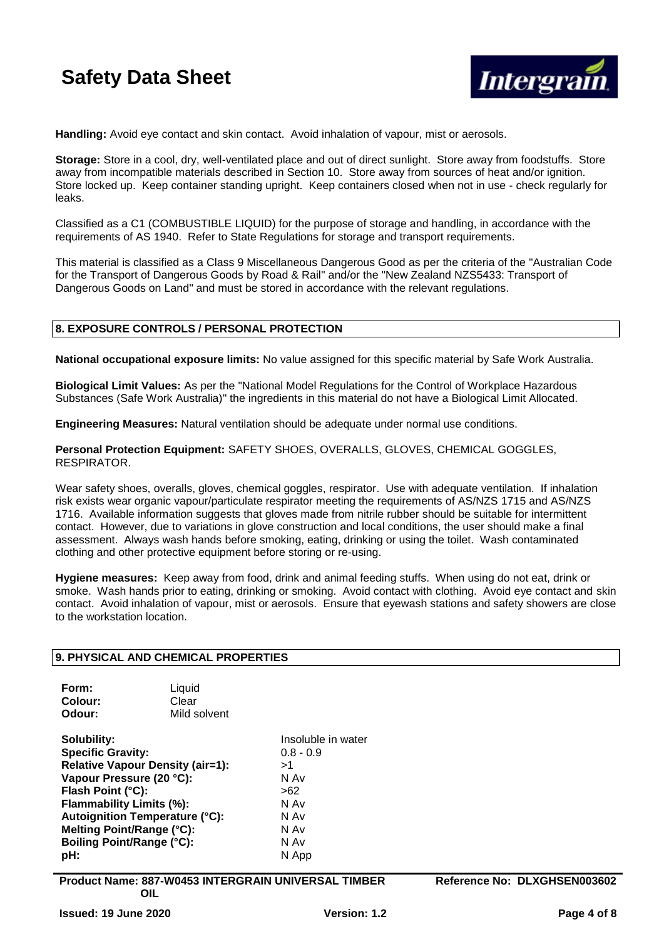

**Handling:** Avoid eye contact and skin contact. Avoid inhalation of vapour, mist or aerosols.

**Storage:** Store in a cool, dry, well-ventilated place and out of direct sunlight. Store away from foodstuffs. Store away from incompatible materials described in Section 10. Store away from sources of heat and/or ignition. Store locked up. Keep container standing upright. Keep containers closed when not in use - check regularly for leaks.

Classified as a C1 (COMBUSTIBLE LIQUID) for the purpose of storage and handling, in accordance with the requirements of AS 1940. Refer to State Regulations for storage and transport requirements.

This material is classified as a Class 9 Miscellaneous Dangerous Good as per the criteria of the "Australian Code for the Transport of Dangerous Goods by Road & Rail" and/or the "New Zealand NZS5433: Transport of Dangerous Goods on Land" and must be stored in accordance with the relevant regulations.

# **8. EXPOSURE CONTROLS / PERSONAL PROTECTION**

**National occupational exposure limits:** No value assigned for this specific material by Safe Work Australia.

**Biological Limit Values:** As per the "National Model Regulations for the Control of Workplace Hazardous Substances (Safe Work Australia)" the ingredients in this material do not have a Biological Limit Allocated.

**Engineering Measures:** Natural ventilation should be adequate under normal use conditions.

**Personal Protection Equipment:** SAFETY SHOES, OVERALLS, GLOVES, CHEMICAL GOGGLES, RESPIRATOR.

Wear safety shoes, overalls, gloves, chemical goggles, respirator. Use with adequate ventilation. If inhalation risk exists wear organic vapour/particulate respirator meeting the requirements of AS/NZS 1715 and AS/NZS 1716. Available information suggests that gloves made from nitrile rubber should be suitable for intermittent contact. However, due to variations in glove construction and local conditions, the user should make a final assessment. Always wash hands before smoking, eating, drinking or using the toilet. Wash contaminated clothing and other protective equipment before storing or re-using.

**Hygiene measures:** Keep away from food, drink and animal feeding stuffs. When using do not eat, drink or smoke. Wash hands prior to eating, drinking or smoking. Avoid contact with clothing. Avoid eye contact and skin contact. Avoid inhalation of vapour, mist or aerosols. Ensure that eyewash stations and safety showers are close to the workstation location.

# **9. PHYSICAL AND CHEMICAL PROPERTIES**

| Form:   | Liquid       |
|---------|--------------|
| Colour: | Clear        |
| Odour:  | Mild solvent |
|         |              |

**Solubility:** Insoluble in water **Specific Gravity:** 0.8 - 0.9 **Relative Vapour Density (air=1):** >1<br>**Vapour Pressure (20 °C):** N Av Vapour Pressure (20 °C): **Flash Point (°C):** >62 **Flammability Limits (%):** N Av **Autoignition Temperature (°C):** N Av **Melting Point/Range (°C):** N Av **Boiling Point/Range (°C):** N Av **pH:** N App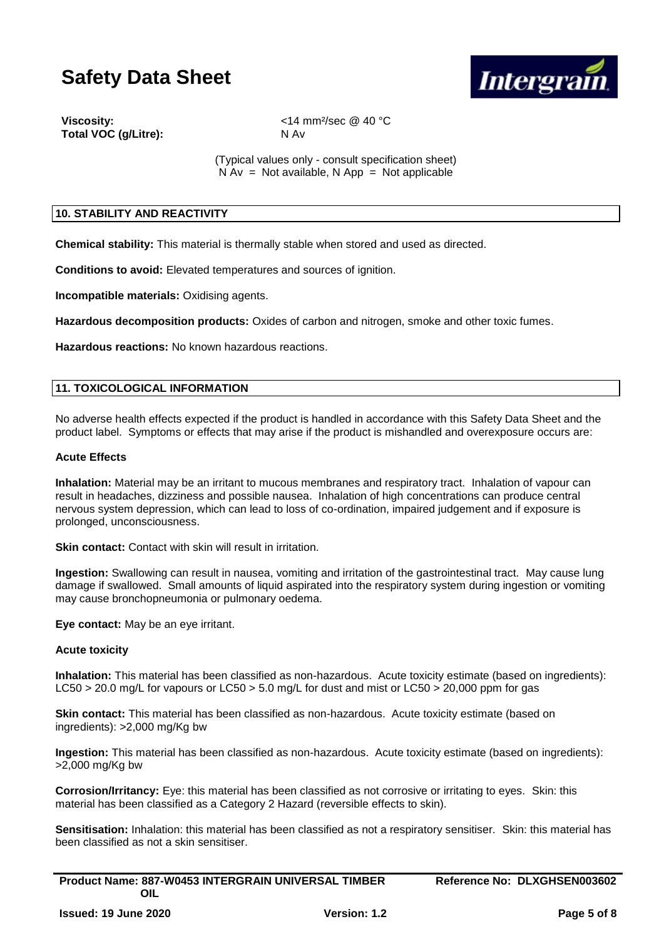

**Total VOC (g/Litre):** N Av

**Viscosity:** <14 mm²/sec @ 40 °C

(Typical values only - consult specification sheet)  $N Av = Not available, N App = Not applicable$ 

# **10. STABILITY AND REACTIVITY**

**Chemical stability:** This material is thermally stable when stored and used as directed.

**Conditions to avoid:** Elevated temperatures and sources of ignition.

**Incompatible materials:** Oxidising agents.

**Hazardous decomposition products:** Oxides of carbon and nitrogen, smoke and other toxic fumes.

**Hazardous reactions:** No known hazardous reactions.

# **11. TOXICOLOGICAL INFORMATION**

No adverse health effects expected if the product is handled in accordance with this Safety Data Sheet and the product label. Symptoms or effects that may arise if the product is mishandled and overexposure occurs are:

# **Acute Effects**

**Inhalation:** Material may be an irritant to mucous membranes and respiratory tract. Inhalation of vapour can result in headaches, dizziness and possible nausea. Inhalation of high concentrations can produce central nervous system depression, which can lead to loss of co-ordination, impaired judgement and if exposure is prolonged, unconsciousness.

**Skin contact:** Contact with skin will result in irritation.

**Ingestion:** Swallowing can result in nausea, vomiting and irritation of the gastrointestinal tract. May cause lung damage if swallowed. Small amounts of liquid aspirated into the respiratory system during ingestion or vomiting may cause bronchopneumonia or pulmonary oedema.

**Eye contact:** May be an eye irritant.

# **Acute toxicity**

**Inhalation:** This material has been classified as non-hazardous. Acute toxicity estimate (based on ingredients): LC50 > 20.0 mg/L for vapours or LC50 > 5.0 mg/L for dust and mist or LC50 > 20,000 ppm for gas

**Skin contact:** This material has been classified as non-hazardous. Acute toxicity estimate (based on ingredients): >2,000 mg/Kg bw

**Ingestion:** This material has been classified as non-hazardous. Acute toxicity estimate (based on ingredients): >2,000 mg/Kg bw

**Corrosion/Irritancy:** Eye: this material has been classified as not corrosive or irritating to eyes. Skin: this material has been classified as a Category 2 Hazard (reversible effects to skin).

**Sensitisation:** Inhalation: this material has been classified as not a respiratory sensitiser. Skin: this material has been classified as not a skin sensitiser.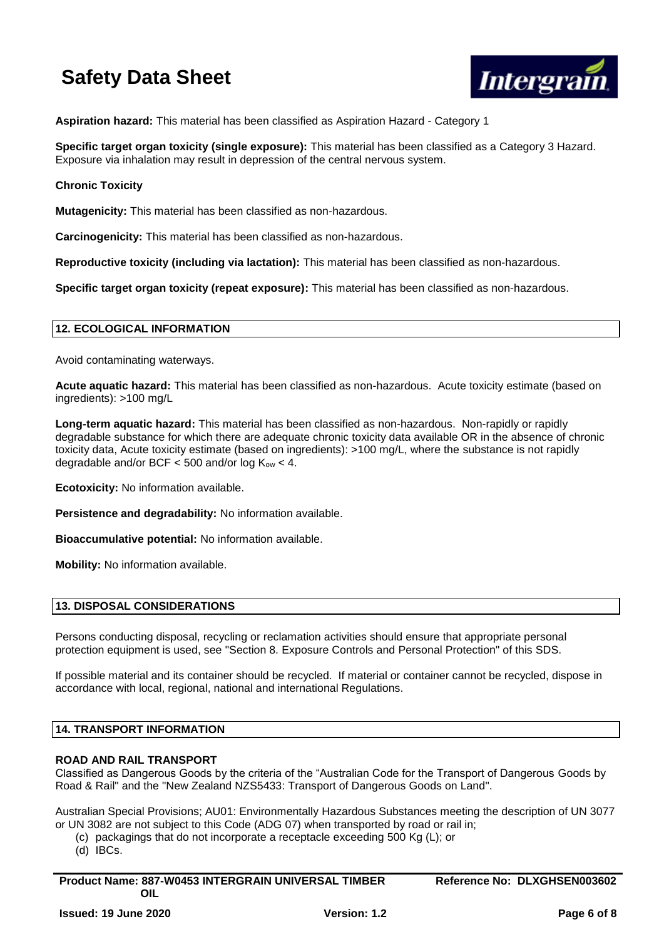

**Aspiration hazard:** This material has been classified as Aspiration Hazard - Category 1

**Specific target organ toxicity (single exposure):** This material has been classified as a Category 3 Hazard. Exposure via inhalation may result in depression of the central nervous system.

**Chronic Toxicity**

**Mutagenicity:** This material has been classified as non-hazardous.

**Carcinogenicity:** This material has been classified as non-hazardous.

**Reproductive toxicity (including via lactation):** This material has been classified as non-hazardous.

**Specific target organ toxicity (repeat exposure):** This material has been classified as non-hazardous.

# **12. ECOLOGICAL INFORMATION**

Avoid contaminating waterways.

**Acute aquatic hazard:** This material has been classified as non-hazardous. Acute toxicity estimate (based on ingredients): >100 mg/L

**Long-term aquatic hazard:** This material has been classified as non-hazardous. Non-rapidly or rapidly degradable substance for which there are adequate chronic toxicity data available OR in the absence of chronic toxicity data, Acute toxicity estimate (based on ingredients): >100 mg/L, where the substance is not rapidly degradable and/or BCF  $<$  500 and/or log  $K_{ow}$   $<$  4.

**Ecotoxicity:** No information available.

**Persistence and degradability:** No information available.

**Bioaccumulative potential:** No information available.

**Mobility:** No information available.

# **13. DISPOSAL CONSIDERATIONS**

Persons conducting disposal, recycling or reclamation activities should ensure that appropriate personal protection equipment is used, see "Section 8. Exposure Controls and Personal Protection" of this SDS.

If possible material and its container should be recycled. If material or container cannot be recycled, dispose in accordance with local, regional, national and international Regulations.

# **14. TRANSPORT INFORMATION**

# **ROAD AND RAIL TRANSPORT**

Classified as Dangerous Goods by the criteria of the "Australian Code for the Transport of Dangerous Goods by Road & Rail" and the "New Zealand NZS5433: Transport of Dangerous Goods on Land".

Australian Special Provisions; AU01: Environmentally Hazardous Substances meeting the description of UN 3077 or UN 3082 are not subject to this Code (ADG 07) when transported by road or rail in;

- (c) packagings that do not incorporate a receptacle exceeding 500 Kg (L); or
- $(d)$  IBCs.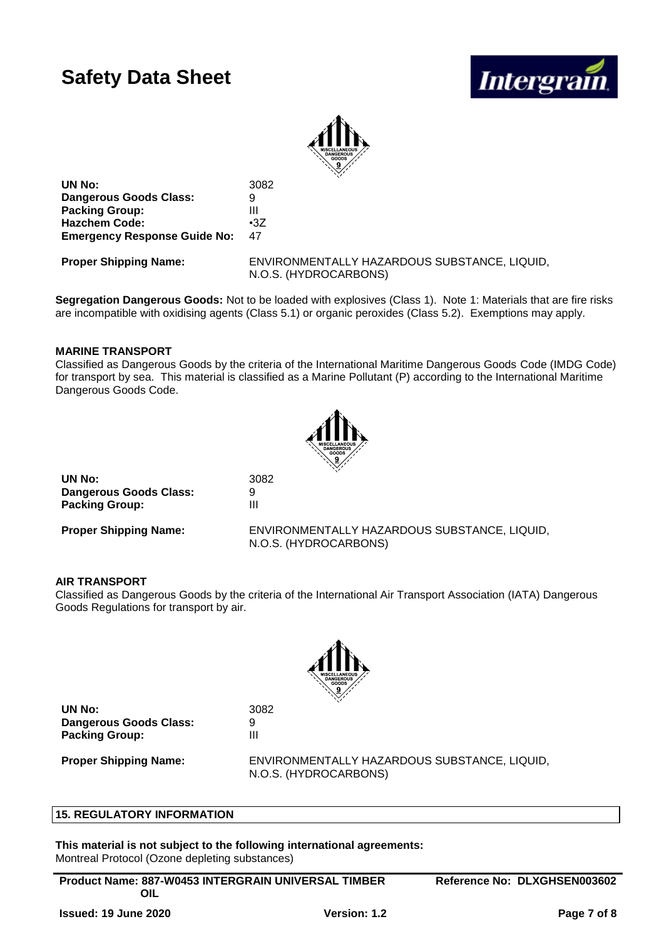



**UN No:** 3082 **Dangerous Goods Class:** 9 **Packing Group:** III **Hazchem Code:** •3Z **Emergency Response Guide No:** 47

**Proper Shipping Name:** ENVIRONMENTALLY HAZARDOUS SUBSTANCE, LIQUID, N.O.S. (HYDROCARBONS)

**Segregation Dangerous Goods:** Not to be loaded with explosives (Class 1). Note 1: Materials that are fire risks are incompatible with oxidising agents (Class 5.1) or organic peroxides (Class 5.2). Exemptions may apply.

# **MARINE TRANSPORT**

Classified as Dangerous Goods by the criteria of the International Maritime Dangerous Goods Code (IMDG Code) for transport by sea. This material is classified as a Marine Pollutant (P) according to the International Maritime Dangerous Goods Code.



| UN No:                        | 3082 |
|-------------------------------|------|
| <b>Dangerous Goods Class:</b> | 9    |
| <b>Packing Group:</b>         | Ш    |

**Proper Shipping Name:** ENVIRONMENTALLY HAZARDOUS SUBSTANCE, LIQUID, N.O.S. (HYDROCARBONS)

# **AIR TRANSPORT**

Classified as Dangerous Goods by the criteria of the International Air Transport Association (IATA) Dangerous Goods Regulations for transport by air.



**UN No:** 3082 **Dangerous Goods Class:** 9 **Packing Group:** III

**Proper Shipping Name:** ENVIRONMENTALLY HAZARDOUS SUBSTANCE, LIQUID, N.O.S. (HYDROCARBONS)

# **15. REGULATORY INFORMATION**

**This material is not subject to the following international agreements:** Montreal Protocol (Ozone depleting substances)

**Product Name: 887-W0453 INTERGRAIN UNIVERSAL TIMBER OIL**

**Reference No: DLXGHSEN003602**